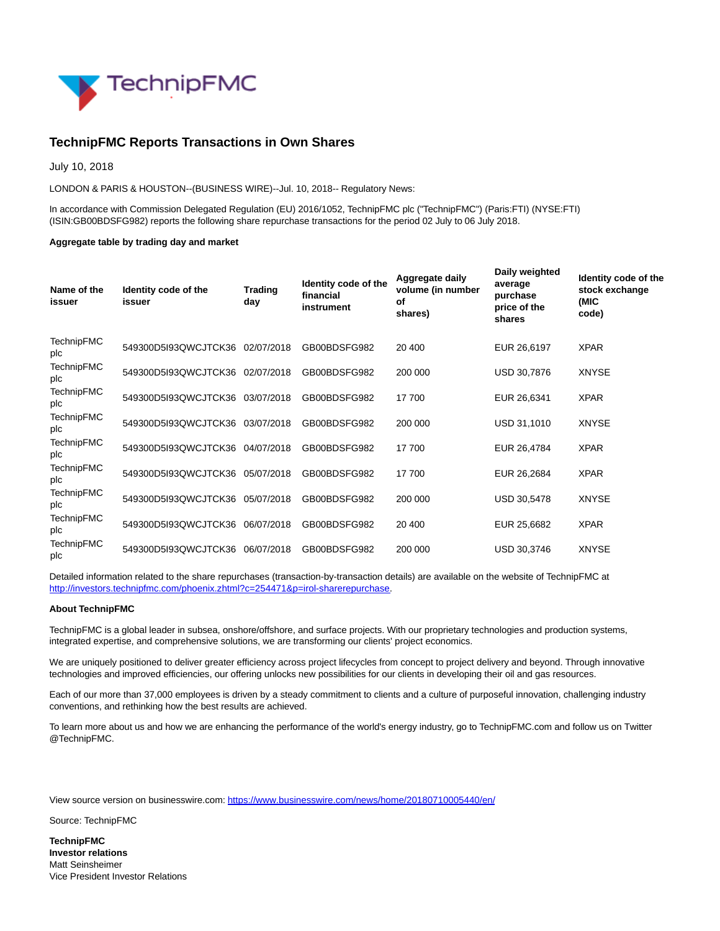

## **TechnipFMC Reports Transactions in Own Shares**

July 10, 2018

LONDON & PARIS & HOUSTON--(BUSINESS WIRE)--Jul. 10, 2018-- Regulatory News:

In accordance with Commission Delegated Regulation (EU) 2016/1052, TechnipFMC plc ("TechnipFMC") (Paris:FTI) (NYSE:FTI) (ISIN:GB00BDSFG982) reports the following share repurchase transactions for the period 02 July to 06 July 2018.

## **Aggregate table by trading day and market**

| Name of the<br>issuer    | Identity code of the<br>issuer  | <b>Trading</b><br>day | Identity code of the<br>financial<br>instrument | Aggregate daily<br>volume (in number<br>οf<br>shares) | Daily weighted<br>average<br>purchase<br>price of the<br>shares | Identity code of the<br>stock exchange<br>(MIC<br>code) |
|--------------------------|---------------------------------|-----------------------|-------------------------------------------------|-------------------------------------------------------|-----------------------------------------------------------------|---------------------------------------------------------|
| <b>TechnipFMC</b><br>plc | 549300D5I93QWCJTCK36            | 02/07/2018            | GB00BDSFG982                                    | 20 400                                                | EUR 26,6197                                                     | <b>XPAR</b>                                             |
| <b>TechnipFMC</b><br>plc | 549300D5I93QWCJTCK36 02/07/2018 |                       | GB00BDSFG982                                    | 200 000                                               | USD 30,7876                                                     | <b>XNYSE</b>                                            |
| <b>TechnipFMC</b><br>plc | 549300D5I93QWCJTCK36 03/07/2018 |                       | GB00BDSFG982                                    | 17 700                                                | EUR 26,6341                                                     | <b>XPAR</b>                                             |
| <b>TechnipFMC</b><br>plc | 549300D5I93QWCJTCK36 03/07/2018 |                       | GB00BDSFG982                                    | 200 000                                               | USD 31,1010                                                     | <b>XNYSE</b>                                            |
| <b>TechnipFMC</b><br>plc | 549300D5I93QWCJTCK36            | 04/07/2018            | GB00BDSFG982                                    | 17 700                                                | EUR 26,4784                                                     | <b>XPAR</b>                                             |
| <b>TechnipFMC</b><br>plc | 549300D5I93QWCJTCK36            | 05/07/2018            | GB00BDSFG982                                    | 17 700                                                | EUR 26,2684                                                     | <b>XPAR</b>                                             |
| <b>TechnipFMC</b><br>plc | 549300D5I93QWCJTCK36            | 05/07/2018            | GB00BDSFG982                                    | 200 000                                               | USD 30,5478                                                     | <b>XNYSE</b>                                            |
| TechnipFMC<br>plc        | 549300D5I93QWCJTCK36            | 06/07/2018            | GB00BDSFG982                                    | 20 400                                                | EUR 25,6682                                                     | <b>XPAR</b>                                             |
| TechnipFMC<br>plc        | 549300D5I93QWCJTCK36            | 06/07/2018            | GB00BDSFG982                                    | 200 000                                               | USD 30,3746                                                     | <b>XNYSE</b>                                            |

Detailed information related to the share repurchases (transaction-by-transaction details) are available on the website of TechnipFMC at [http://investors.technipfmc.com/phoenix.zhtml?c=254471&p=irol-sharerepurchase.](http://cts.businesswire.com/ct/CT?id=smartlink&url=http%3A%2F%2Finvestors.technipfmc.com%2Fphoenix.zhtml%3Fc%3D254471%26p%3Dirol-sharerepurchase&esheet=51834219&newsitemid=20180710005440&lan=en-US&anchor=http%3A%2F%2Finvestors.technipfmc.com%2Fphoenix.zhtml%3Fc%3D254471%26p%3Dirol-sharerepurchase&index=1&md5=e8ceba0e04567e70b652877c4afa8f26)

## **About TechnipFMC**

TechnipFMC is a global leader in subsea, onshore/offshore, and surface projects. With our proprietary technologies and production systems, integrated expertise, and comprehensive solutions, we are transforming our clients' project economics.

We are uniquely positioned to deliver greater efficiency across project lifecycles from concept to project delivery and beyond. Through innovative technologies and improved efficiencies, our offering unlocks new possibilities for our clients in developing their oil and gas resources.

Each of our more than 37,000 employees is driven by a steady commitment to clients and a culture of purposeful innovation, challenging industry conventions, and rethinking how the best results are achieved.

To learn more about us and how we are enhancing the performance of the world's energy industry, go to TechnipFMC.com and follow us on Twitter @TechnipFMC.

View source version on businesswire.com:<https://www.businesswire.com/news/home/20180710005440/en/>

Source: TechnipFMC

**TechnipFMC Investor relations** Matt Seinsheimer Vice President Investor Relations